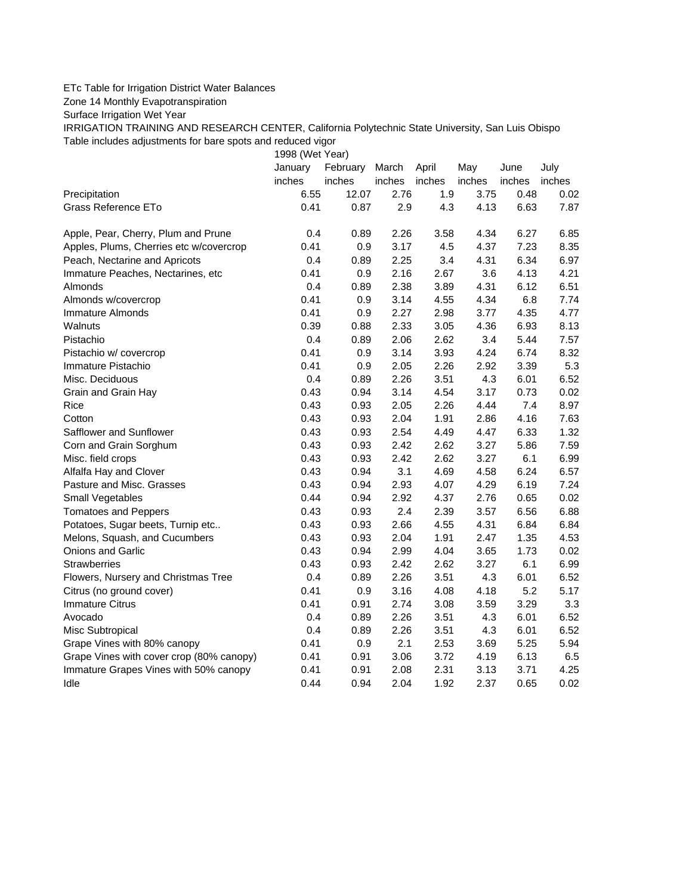## ETc Table for Irrigation District Water Balances

Zone 14 Monthly Evapotranspiration

Surface Irrigation Wet Year

IRRIGATION TRAINING AND RESEARCH CENTER, California Polytechnic State University, San Luis Obispo Table includes adjustments for bare spots and reduced vigor

1998 (Wet Year)

|                                          | January | February | March  | April  | May    | June   | July   |
|------------------------------------------|---------|----------|--------|--------|--------|--------|--------|
|                                          | inches  | inches   | inches | inches | inches | inches | inches |
| Precipitation                            | 6.55    | 12.07    | 2.76   | 1.9    | 3.75   | 0.48   | 0.02   |
| Grass Reference ETo                      | 0.41    | 0.87     | 2.9    | 4.3    | 4.13   | 6.63   | 7.87   |
| Apple, Pear, Cherry, Plum and Prune      | 0.4     | 0.89     | 2.26   | 3.58   | 4.34   | 6.27   | 6.85   |
| Apples, Plums, Cherries etc w/covercrop  | 0.41    | 0.9      | 3.17   | 4.5    | 4.37   | 7.23   | 8.35   |
| Peach, Nectarine and Apricots            | 0.4     | 0.89     | 2.25   | 3.4    | 4.31   | 6.34   | 6.97   |
| Immature Peaches, Nectarines, etc        | 0.41    | 0.9      | 2.16   | 2.67   | 3.6    | 4.13   | 4.21   |
| Almonds                                  | 0.4     | 0.89     | 2.38   | 3.89   | 4.31   | 6.12   | 6.51   |
| Almonds w/covercrop                      | 0.41    | 0.9      | 3.14   | 4.55   | 4.34   | 6.8    | 7.74   |
| Immature Almonds                         | 0.41    | 0.9      | 2.27   | 2.98   | 3.77   | 4.35   | 4.77   |
| Walnuts                                  | 0.39    | 0.88     | 2.33   | 3.05   | 4.36   | 6.93   | 8.13   |
| Pistachio                                | 0.4     | 0.89     | 2.06   | 2.62   | 3.4    | 5.44   | 7.57   |
| Pistachio w/ covercrop                   | 0.41    | 0.9      | 3.14   | 3.93   | 4.24   | 6.74   | 8.32   |
| Immature Pistachio                       | 0.41    | 0.9      | 2.05   | 2.26   | 2.92   | 3.39   | 5.3    |
| Misc. Deciduous                          | 0.4     | 0.89     | 2.26   | 3.51   | 4.3    | 6.01   | 6.52   |
| Grain and Grain Hay                      | 0.43    | 0.94     | 3.14   | 4.54   | 3.17   | 0.73   | 0.02   |
| Rice                                     | 0.43    | 0.93     | 2.05   | 2.26   | 4.44   | 7.4    | 8.97   |
| Cotton                                   | 0.43    | 0.93     | 2.04   | 1.91   | 2.86   | 4.16   | 7.63   |
| Safflower and Sunflower                  | 0.43    | 0.93     | 2.54   | 4.49   | 4.47   | 6.33   | 1.32   |
| Corn and Grain Sorghum                   | 0.43    | 0.93     | 2.42   | 2.62   | 3.27   | 5.86   | 7.59   |
| Misc. field crops                        | 0.43    | 0.93     | 2.42   | 2.62   | 3.27   | 6.1    | 6.99   |
| Alfalfa Hay and Clover                   | 0.43    | 0.94     | 3.1    | 4.69   | 4.58   | 6.24   | 6.57   |
| Pasture and Misc. Grasses                | 0.43    | 0.94     | 2.93   | 4.07   | 4.29   | 6.19   | 7.24   |
| Small Vegetables                         | 0.44    | 0.94     | 2.92   | 4.37   | 2.76   | 0.65   | 0.02   |
| <b>Tomatoes and Peppers</b>              | 0.43    | 0.93     | 2.4    | 2.39   | 3.57   | 6.56   | 6.88   |
| Potatoes, Sugar beets, Turnip etc        | 0.43    | 0.93     | 2.66   | 4.55   | 4.31   | 6.84   | 6.84   |
| Melons, Squash, and Cucumbers            | 0.43    | 0.93     | 2.04   | 1.91   | 2.47   | 1.35   | 4.53   |
| Onions and Garlic                        | 0.43    | 0.94     | 2.99   | 4.04   | 3.65   | 1.73   | 0.02   |
| <b>Strawberries</b>                      | 0.43    | 0.93     | 2.42   | 2.62   | 3.27   | 6.1    | 6.99   |
| Flowers, Nursery and Christmas Tree      | 0.4     | 0.89     | 2.26   | 3.51   | 4.3    | 6.01   | 6.52   |
| Citrus (no ground cover)                 | 0.41    | 0.9      | 3.16   | 4.08   | 4.18   | 5.2    | 5.17   |
| <b>Immature Citrus</b>                   | 0.41    | 0.91     | 2.74   | 3.08   | 3.59   | 3.29   | 3.3    |
| Avocado                                  | 0.4     | 0.89     | 2.26   | 3.51   | 4.3    | 6.01   | 6.52   |
| Misc Subtropical                         | 0.4     | 0.89     | 2.26   | 3.51   | 4.3    | 6.01   | 6.52   |
| Grape Vines with 80% canopy              | 0.41    | 0.9      | 2.1    | 2.53   | 3.69   | 5.25   | 5.94   |
| Grape Vines with cover crop (80% canopy) | 0.41    | 0.91     | 3.06   | 3.72   | 4.19   | 6.13   | 6.5    |
| Immature Grapes Vines with 50% canopy    | 0.41    | 0.91     | 2.08   | 2.31   | 3.13   | 3.71   | 4.25   |
| Idle                                     | 0.44    | 0.94     | 2.04   | 1.92   | 2.37   | 0.65   | 0.02   |